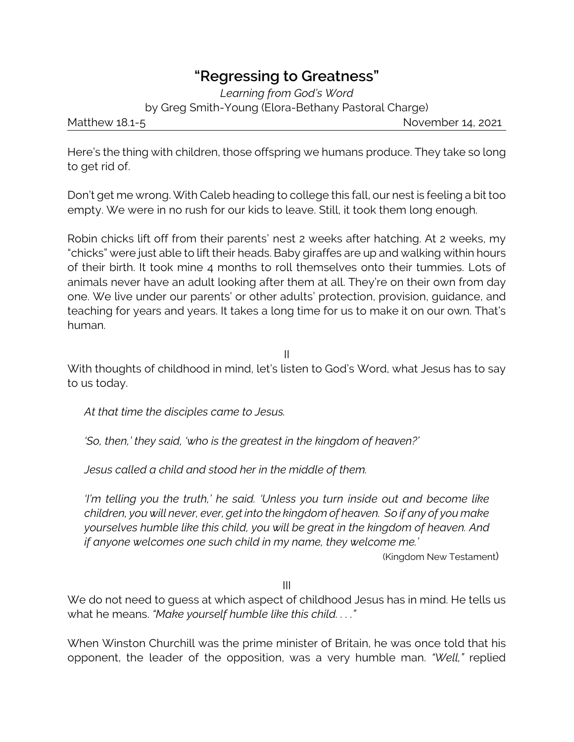## **"Regressing to Greatness"**

*Learning from God's Word*

by Greg Smith-Young (Elora-Bethany Pastoral Charge)

Matthew 18.1-5 **November 14, 2021** 

Here's the thing with children, those offspring we humans produce. They take so long to get rid of.

Don't get me wrong. With Caleb heading to college this fall, our nest is feeling a bit too empty. We were in no rush for our kids to leave. Still, it took them long enough.

Robin chicks lift off from their parents' nest 2 weeks after hatching. At 2 weeks, my "chicks" were just able to lift their heads. Baby giraffes are up and walking within hours of their birth. It took mine 4 months to roll themselves onto their tummies. Lots of animals never have an adult looking after them at all. They're on their own from day one. We live under our parents' or other adults' protection, provision, guidance, and teaching for years and years. It takes a long time for us to make it on our own. That's human.

II

With thoughts of childhood in mind, let's listen to God's Word, what Jesus has to say to us today.

*At that time the disciples came to Jesus.*

*'So, then,' they said, 'who is the greatest in the kingdom of heaven?'*

*Jesus called a child and stood her in the middle of them.*

*'I'm telling you the truth,' he said. 'Unless you turn inside out and become like children, you will never, ever, get into the kingdom of heaven. So if any of you make yourselves humble like this child, you will be great in the kingdom of heaven. And if anyone welcomes one such child in my name, they welcome me.'*

(Kingdom New Testament)

III

We do not need to quess at which aspect of childhood Jesus has in mind. He tells us what he means. *"Make yourself humble like this child. . . ."*

When Winston Churchill was the prime minister of Britain, he was once told that his opponent, the leader of the opposition, was a very humble man. *"Well,"* replied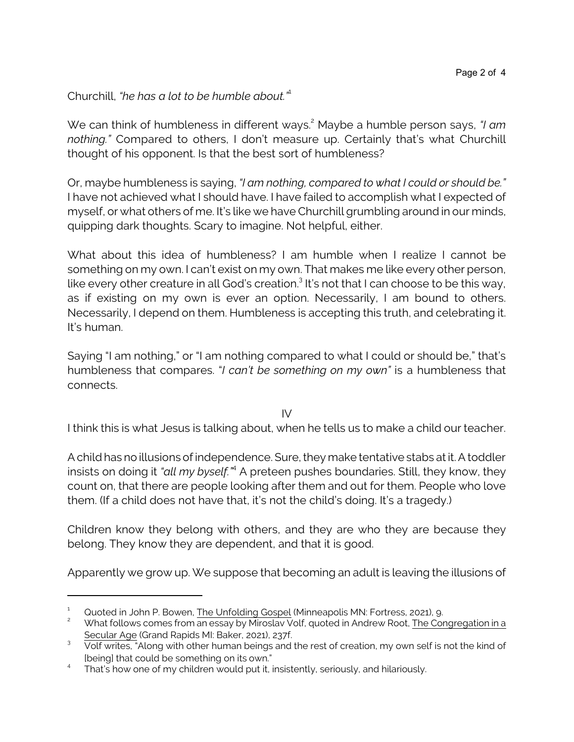Churchill, *"he has a lot to be humble about."*<sup>1</sup>

We can think of humbleness in different ways. <sup>2</sup> Maybe a humble person says, *"I am nothing."* Compared to others, I don't measure up. Certainly that's what Churchill thought of his opponent. Is that the best sort of humbleness?

Or, maybe humbleness is saying, *"I am nothing, compared to what I could or should be."* I have not achieved what I should have. I have failed to accomplish what I expected of myself, or what others of me. It's like we have Churchill grumbling around in our minds, quipping dark thoughts. Scary to imagine. Not helpful, either.

What about this idea of humbleness? I am humble when I realize I cannot be something on my own. I can't exist on my own. That makes me like every other person, like every other creature in all God's creation. $^3$  It's not that I can choose to be this way, as if existing on my own is ever an option. Necessarily, I am bound to others. Necessarily, I depend on them. Humbleness is accepting this truth, and celebrating it. It's human.

Saying "I am nothing," or "I am nothing compared to what I could or should be," that's humbleness that compares. "*I can't be something on my own"* is a humbleness that connects.

IV

I think this is what Jesus is talking about, when he tells us to make a child our teacher.

A child has no illusions of independence. Sure, they make tentative stabs at it. A toddler insists on doing it *"all my byself."*<sup>4</sup> A preteen pushes boundaries. Still, they know, they count on, that there are people looking after them and out for them. People who love them. (If a child does not have that, it's not the child's doing. It's a tragedy.)

Children know they belong with others, and they are who they are because they belong. They know they are dependent, and that it is good.

Apparently we grow up. We suppose that becoming an adult is leaving the illusions of

Quoted in John P. Bowen, The Unfolding Gospel (Minneapolis MN: Fortress, 2021), 9.

What follows comes from an essay by Miroslav Volf, quoted in Andrew Root, The Congregation in a Secular Age (Grand Rapids MI: Baker, 2021), 237f.

 $3$  Volf writes, "Along with other human beings and the rest of creation, my own self is not the kind of [being] that could be something on its own."

<sup>4</sup> That's how one of my children would put it, insistently, seriously, and hilariously.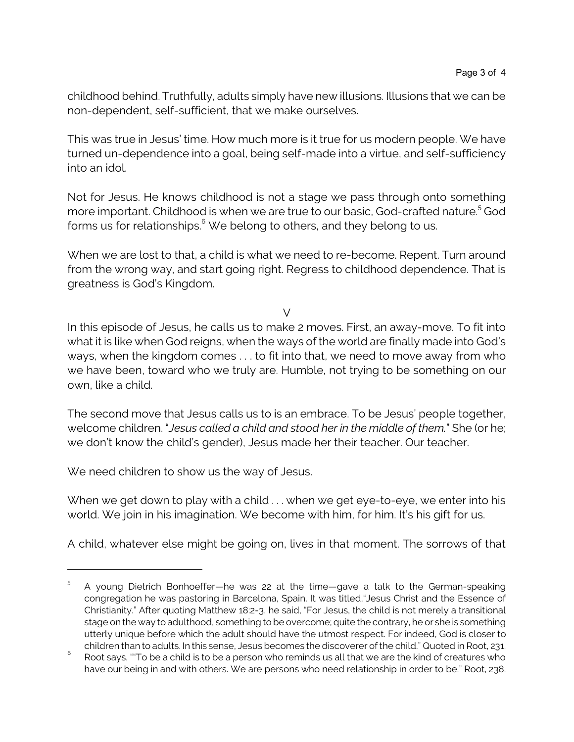childhood behind. Truthfully, adults simply have new illusions. Illusions that we can be non-dependent, self-sufficient, that we make ourselves.

This was true in Jesus' time. How much more is it true for us modern people. We have turned un-dependence into a goal, being self-made into a virtue, and self-sufficiency into an idol.

Not for Jesus. He knows childhood is not a stage we pass through onto something more important. Childhood is when we are true to our basic, God-crafted nature. 5 God forms us for relationships.<sup>6</sup> We belong to others, and they belong to us.

When we are lost to that, a child is what we need to re-become. Repent. Turn around from the wrong way, and start going right. Regress to childhood dependence. That is greatness is God's Kingdom.

V

In this episode of Jesus, he calls us to make 2 moves. First, an away-move. To fit into what it is like when God reigns, when the ways of the world are finally made into God's ways, when the kingdom comes . . . to fit into that, we need to move away from who we have been, toward who we truly are. Humble, not trying to be something on our own, like a child.

The second move that Jesus calls us to is an embrace. To be Jesus' people together, welcome children. "*Jesus called a child and stood her in the middle of them.*" She (or he; we don't know the child's gender), Jesus made her their teacher. Our teacher.

We need children to show us the way of Jesus.

When we get down to play with a child . . . when we get eye-to-eye, we enter into his world. We join in his imagination. We become with him, for him. It's his gift for us.

A child, whatever else might be going on, lives in that moment. The sorrows of that

<sup>5</sup> A young Dietrich Bonhoeffer—he was 22 at the time—gave a talk to the German-speaking congregation he was pastoring in Barcelona, Spain. It was titled,"Jesus Christ and the Essence of Christianity." After quoting Matthew 18:2-3, he said, "For Jesus, the child is not merely a transitional stage on the way to adulthood, something to be overcome; quite the contrary, he or she is something utterly unique before which the adult should have the utmost respect. For indeed, God is closer to children than to adults. In this sense, Jesus becomes the discoverer of the child." Quoted in Root, 231.

<sup>6</sup> Root says, ""To be a child is to be a person who reminds us all that we are the kind of creatures who have our being in and with others. We are persons who need relationship in order to be." Root, 238.